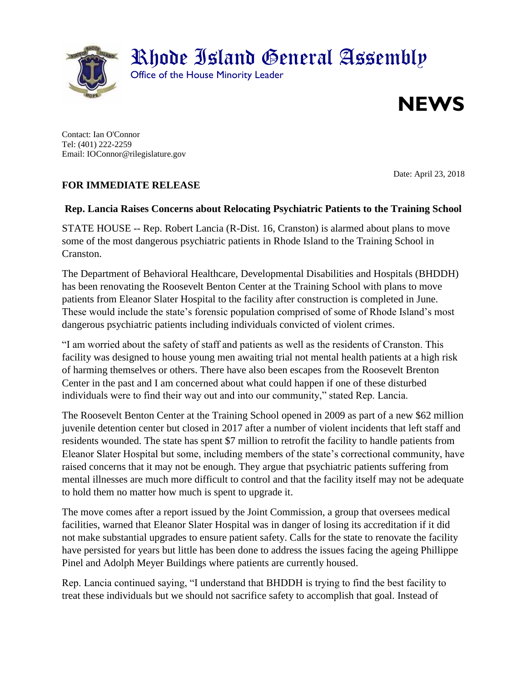

Contact: Ian O'Connor Tel: (401) 222-2259 Email: IOConnor@rilegislature.gov

## **FOR IMMEDIATE RELEASE**

Date: April 23, 2018

## **Rep. Lancia Raises Concerns about Relocating Psychiatric Patients to the Training School**

STATE HOUSE -- Rep. Robert Lancia (R-Dist. 16, Cranston) is alarmed about plans to move some of the most dangerous psychiatric patients in Rhode Island to the Training School in Cranston.

The Department of Behavioral Healthcare, Developmental Disabilities and Hospitals (BHDDH) has been renovating the Roosevelt Benton Center at the Training School with plans to move patients from Eleanor Slater Hospital to the facility after construction is completed in June. These would include the state's forensic population comprised of some of Rhode Island's most dangerous psychiatric patients including individuals convicted of violent crimes.

"I am worried about the safety of staff and patients as well as the residents of Cranston. This facility was designed to house young men awaiting trial not mental health patients at a high risk of harming themselves or others. There have also been escapes from the Roosevelt Brenton Center in the past and I am concerned about what could happen if one of these disturbed individuals were to find their way out and into our community," stated Rep. Lancia.

The Roosevelt Benton Center at the Training School opened in 2009 as part of a new \$62 million juvenile detention center but closed in 2017 after a number of violent incidents that left staff and residents wounded. The state has spent \$7 million to retrofit the facility to handle patients from Eleanor Slater Hospital but some, including members of the state's correctional community, have raised concerns that it may not be enough. They argue that psychiatric patients suffering from mental illnesses are much more difficult to control and that the facility itself may not be adequate to hold them no matter how much is spent to upgrade it.

The move comes after a report issued by the Joint Commission, a group that oversees medical facilities, warned that Eleanor Slater Hospital was in danger of losing its accreditation if it did not make substantial upgrades to ensure patient safety. Calls for the state to renovate the facility have persisted for years but little has been done to address the issues facing the ageing Phillippe Pinel and Adolph Meyer Buildings where patients are currently housed.

Rep. Lancia continued saying, "I understand that BHDDH is trying to find the best facility to treat these individuals but we should not sacrifice safety to accomplish that goal. Instead of